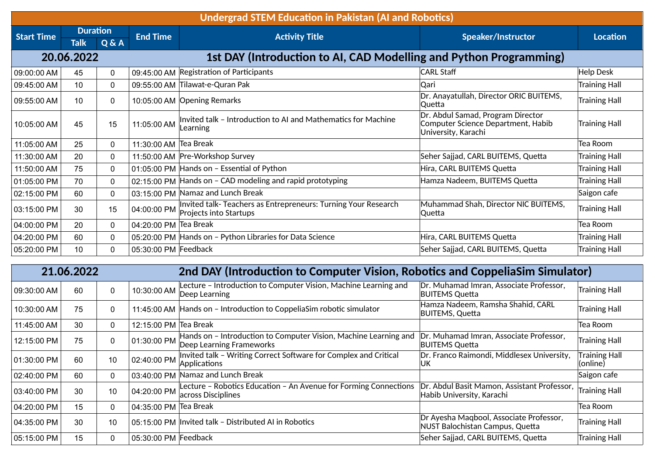| <b>Undergrad STEM Education in Pakistan (AI and Robotics)</b> |                 |              |                       |                                                                                          |                                                                                                |                      |  |  |
|---------------------------------------------------------------|-----------------|--------------|-----------------------|------------------------------------------------------------------------------------------|------------------------------------------------------------------------------------------------|----------------------|--|--|
| <b>Start Time</b>                                             | <b>Duration</b> |              | <b>End Time</b>       | <b>Activity Title</b>                                                                    | Speaker/Instructor                                                                             | Location             |  |  |
|                                                               | <b>Talk</b>     | Q & A        |                       |                                                                                          |                                                                                                |                      |  |  |
|                                                               | 20.06.2022      |              |                       | 1st DAY (Introduction to AI, CAD Modelling and Python Programming)                       |                                                                                                |                      |  |  |
| 09:00:00 AM                                                   | 45              | 0            |                       | 09:45:00 AM Registration of Participants                                                 | <b>CARL Staff</b>                                                                              | Help Desk            |  |  |
| 09:45:00 AM                                                   | 10              | $\mathbf{0}$ |                       | 09:55:00 AM Tilawat-e-Quran Pak                                                          | Qari                                                                                           | <b>Training Hall</b> |  |  |
| 09:55:00 AM                                                   | 10              | 0            |                       | 10:05:00 AM Opening Remarks                                                              | Dr. Anayatullah, Director ORIC BUITEMS,<br>Quetta                                              | <b>Training Hall</b> |  |  |
| 10:05:00 AM                                                   | 45              | 15           | 11:05:00 AM           | Invited talk - Introduction to AI and Mathematics for Machine<br>Learning                | Dr. Abdul Samad, Program Director<br>Computer Science Department, Habib<br>University, Karachi | <b>Training Hall</b> |  |  |
| 11:05:00 AM                                                   | 25              | $\mathbf{0}$ | 11:30:00 AM Tea Break |                                                                                          |                                                                                                | Tea Room             |  |  |
| 11:30:00 AM                                                   | 20              | 0            |                       | 11:50:00 AM   Pre-Workshop Survey                                                        | Seher Sajjad, CARL BUITEMS, Quetta                                                             | Training Hall        |  |  |
| 11:50:00 AM                                                   | 75              | $\mathbf{0}$ |                       | 01:05:00 PM Hands on - Essential of Python                                               | Hira, CARL BUITEMS Quetta                                                                      | <b>Training Hall</b> |  |  |
| 01:05:00 PM                                                   | 70              | $\mathbf{0}$ |                       | 02:15:00 PM Hands on - CAD modeling and rapid prototyping                                | Hamza Nadeem, BUITEMS Quetta                                                                   | <b>Training Hall</b> |  |  |
| 02:15:00 PM                                                   | 60              | 0            |                       | 03:15:00 PM Namaz and Lunch Break                                                        |                                                                                                | Saigon cafe          |  |  |
| 03:15:00 PM                                                   | 30              | 15           | 04:00:00 PM           | Invited talk- Teachers as Entrepreneurs: Turning Your Research<br>Projects into Startups | Muhammad Shah, Director NIC BUITEMS,<br>Quetta                                                 | <b>Training Hall</b> |  |  |
| 04:00:00 PM                                                   | 20              | $\mathbf{0}$ | 04:20:00 PM Tea Break |                                                                                          |                                                                                                | Tea Room             |  |  |
| 04:20:00 PM                                                   | 60              | $\mathbf{0}$ |                       | 05:20:00 PM Hands on - Python Libraries for Data Science                                 | Hira, CARL BUITEMS Quetta                                                                      | Training Hall        |  |  |
| 05:20:00 PM                                                   | 10              | $\mathbf{0}$ | 05:30:00 PM Feedback  |                                                                                          | Seher Sajjad, CARL BUITEMS, Quetta                                                             | <b>Training Hall</b> |  |  |

| 21.06.2022  |    |    |                       | 2nd DAY (Introduction to Computer Vision, Robotics and CoppeliaSim Simulator)                |                                                                            |                                  |  |  |
|-------------|----|----|-----------------------|----------------------------------------------------------------------------------------------|----------------------------------------------------------------------------|----------------------------------|--|--|
| 09:30:00 AM | 60 | 0  | 10:30:00 AM           | Lecture - Introduction to Computer Vision, Machine Learning and<br>Deep Learning             | Dr. Muhamad Imran, Associate Professor,<br><b>BUITEMS Quetta</b>           | Training Hall                    |  |  |
| 10:30:00 AM | 75 | 0  | 11:45:00 AM           | Hands on - Introduction to CoppeliaSim robotic simulator                                     | Hamza Nadeem, Ramsha Shahid, CARL<br><b>BUITEMS, Quetta</b>                | Training Hall                    |  |  |
| 11:45:00 AM | 30 | 0. | 12:15:00 PM Tea Break |                                                                                              |                                                                            | Tea Room                         |  |  |
| 12:15:00 PM | 75 | 0  | 01:30:00 PM           | Hands on - Introduction to Computer Vision, Machine Learning and<br>Deep Learning Frameworks | Dr. Muhamad Imran, Associate Professor,<br><b>BUITEMS Quetta</b>           | Training Hall                    |  |  |
| 01:30:00 PM | 60 | 10 | 02:40:00 PM           | Invited talk - Writing Correct Software for Complex and Critical<br>Applications             | Dr. Franco Raimondi, Middlesex University,<br>IUK.                         | <b>Training Hall</b><br>(online) |  |  |
| 02:40:00 PM | 60 | 0  | 03:40:00 PM           | Namaz and Lunch Break                                                                        |                                                                            | Saigon cafe                      |  |  |
| 03:40:00 PM | 30 | 10 | 04:20:00 PM           | Lecture - Robotics Education - An Avenue for Forming Connections<br>across Disciplines       | Dr. Abdul Basit Mamon, Assistant Professor,<br>Habib University, Karachi   | Training Hall                    |  |  |
| 04:20:00 PM | 15 | 0  | 04:35:00 PM Tea Break |                                                                                              |                                                                            | Tea Room                         |  |  |
| 04:35:00 PM | 30 | 10 |                       | 05:15:00 PM Invited talk - Distributed AI in Robotics                                        | Dr Ayesha Magbool, Associate Professor,<br>NUST Balochistan Campus, Quetta | Training Hall                    |  |  |
| 05:15:00 PM | 15 | 0  | 05:30:00 PM Feedback  |                                                                                              | Seher Sajjad, CARL BUITEMS, Quetta                                         | Training Hall                    |  |  |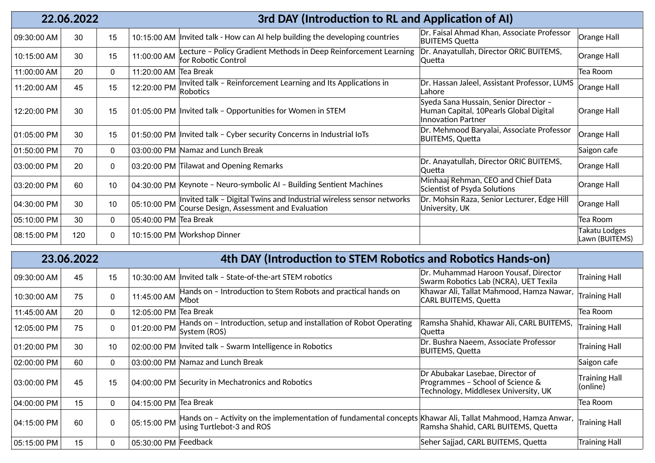| 22.06.2022  |     |             | 3rd DAY (Introduction to RL and Application of AI) |                                                                                                                  |                                                                                                              |                                 |  |  |
|-------------|-----|-------------|----------------------------------------------------|------------------------------------------------------------------------------------------------------------------|--------------------------------------------------------------------------------------------------------------|---------------------------------|--|--|
| 09:30:00 AM | 30  | 15          |                                                    | 10:15:00 AM Invited talk - How can AI help building the developing countries                                     | Dr. Faisal Ahmad Khan, Associate Professor<br><b>BUITEMS Quetta</b>                                          | Orange Hall                     |  |  |
| 10:15:00 AM | 30  | 15          | 11:00:00 AM                                        | Lecture - Policy Gradient Methods in Deep Reinforcement Learning<br>for Robotic Control                          | Dr. Anayatullah, Director ORIC BUITEMS,<br>Quetta                                                            | Orange Hall                     |  |  |
| 11:00:00 AM | 20  | 0           | 11:20:00 AM Tea Break                              |                                                                                                                  |                                                                                                              | Tea Room                        |  |  |
| 11:20:00 AM | 45  | 15          | $12:20:00$ PM $\big $ Robotics                     | Invited talk - Reinforcement Learning and Its Applications in                                                    | Dr. Hassan Jaleel, Assistant Professor, LUMS<br>Lahore                                                       | Orange Hall                     |  |  |
| 12:20:00 PM | 30  | 15          |                                                    | 01:05:00 PM Invited talk - Opportunities for Women in STEM                                                       | Syeda Sana Hussain, Senior Director -<br>Human Capital, 10Pearls Global Digital<br><b>Innovation Partner</b> | Orange Hall                     |  |  |
| 01:05:00 PM | 30  | 15          |                                                    | 01:50:00 PM Invited talk - Cyber security Concerns in Industrial IoTs                                            | Dr. Mehmood Baryalai, Associate Professor<br><b>BUITEMS, Quetta</b>                                          | Orange Hall                     |  |  |
| 01:50:00 PM | 70  | 0           |                                                    | 03:00:00 PM Namaz and Lunch Break                                                                                |                                                                                                              | Saigon cafe                     |  |  |
| 03:00:00 PM | 20  | $\mathbf 0$ |                                                    | 03:20:00 PM Tilawat and Opening Remarks                                                                          | Dr. Anayatullah, Director ORIC BUITEMS,<br> Quetta                                                           | Orange Hall                     |  |  |
| 03:20:00 PM | 60  | 10          |                                                    | 04:30:00 PM Keynote - Neuro-symbolic AI - Building Sentient Machines                                             | Minhaaj Rehman, CEO and Chief Data<br>Scientist of Psyda Solutions                                           | Orange Hall                     |  |  |
| 04:30:00 PM | 30  | 10          | 05:10:00 PM                                        | Invited talk - Digital Twins and Industrial wireless sensor networks<br>Course Design, Assessment and Evaluation | Dr. Mohsin Raza, Senior Lecturer, Edge Hill<br>University, UK                                                | Orange Hall                     |  |  |
| 05:10:00 PM | 30  | 0           | 05:40:00 PM Tea Break                              |                                                                                                                  |                                                                                                              | Tea Room                        |  |  |
| 08:15:00 PM | 120 | $\mathbf 0$ |                                                    | 10:15:00 PM Workshop Dinner                                                                                      |                                                                                                              | Takatu Lodges<br>Lawn (BUITEMS) |  |  |

| 23.06.2022  |    |    | 4th DAY (Introduction to STEM Robotics and Robotics Hands-on) |                                                                                                                                         |                                                                                                              |                           |  |  |  |  |
|-------------|----|----|---------------------------------------------------------------|-----------------------------------------------------------------------------------------------------------------------------------------|--------------------------------------------------------------------------------------------------------------|---------------------------|--|--|--|--|
| 09:30:00 AM | 45 | 15 |                                                               | 10:30:00 AM Invited talk - State-of-the-art STEM robotics                                                                               | Dr. Muhammad Haroon Yousaf, Director<br>Swarm Robotics Lab (NCRA), UET Texila                                | Training Hall             |  |  |  |  |
| 10:30:00 AM | 75 | 0  | 11:45:00 AM                                                   | Hands on - Introduction to Stem Robots and practical hands on<br>Mbot                                                                   | Khawar Ali, Tallat Mahmood, Hamza Nawar,<br><b>CARL BUITEMS, Quetta</b>                                      | Training Hall             |  |  |  |  |
| 11:45:00 AM | 20 | 0  | 12:05:00 PM Tea Break                                         |                                                                                                                                         |                                                                                                              | Tea Room                  |  |  |  |  |
| 12:05:00 PM | 75 | 0  |                                                               | 01:20:00 PM $\vert$ Hands on - Introduction, setup and installation of Robot Operating<br>System (ROS)                                  | Ramsha Shahid, Khawar Ali, CARL BUITEMS,<br>Quetta                                                           | Training Hall             |  |  |  |  |
| 01:20:00 PM | 30 | 10 |                                                               | 02:00:00 PM Invited talk - Swarm Intelligence in Robotics                                                                               | Dr. Bushra Naeem, Associate Professor<br>BUITEMS, Quetta                                                     | Training Hall             |  |  |  |  |
| 02:00:00 PM | 60 | 0  |                                                               | 03:00:00 PM Namaz and Lunch Break                                                                                                       |                                                                                                              | Saigon cafe               |  |  |  |  |
| 03:00:00 PM | 45 | 15 |                                                               | 04:00:00 PM Security in Mechatronics and Robotics                                                                                       | Dr Abubakar Lasebae, Director of<br>Programmes - School of Science &<br>Technology, Middlesex University, UK | Training Hall<br>(online) |  |  |  |  |
| 04:00:00 PM | 15 | 0  | 04:15:00 PM Tea Break                                         |                                                                                                                                         |                                                                                                              | Tea Room                  |  |  |  |  |
| 04:15:00 PM | 60 | 0  | 05:15:00 PM                                                   | Hands on - Activity on the implementation of fundamental concepts Khawar Ali, Tallat Mahmood, Hamza Anwar,<br>using Turtlebot-3 and ROS | Ramsha Shahid, CARL BUITEMS, Quetta                                                                          | Training Hall             |  |  |  |  |
| 05:15:00 PM | 15 | 0  | 05:30:00 PM Feedback                                          |                                                                                                                                         | Seher Sajjad, CARL BUITEMS, Quetta                                                                           | Training Hall             |  |  |  |  |